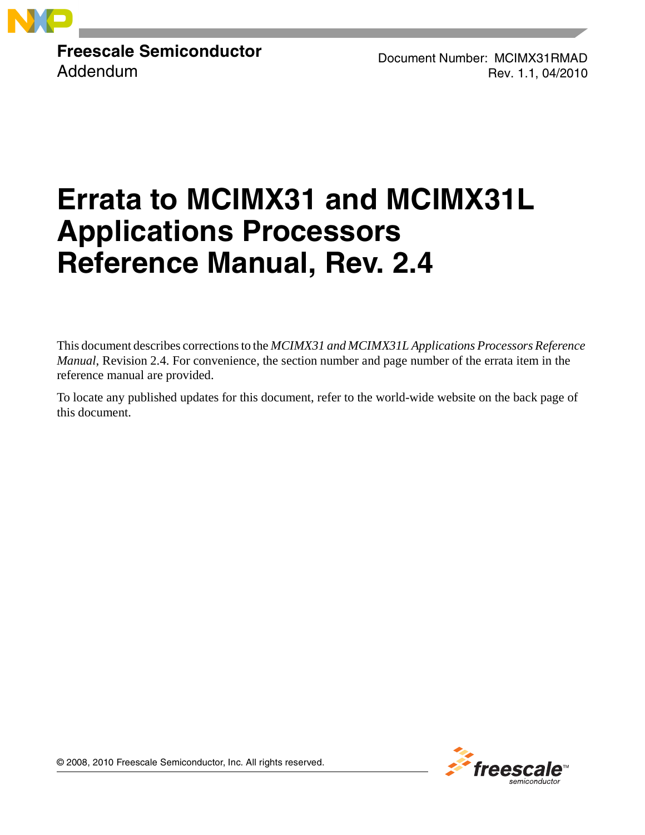

**Freescale Semiconductor** Addendum

Document Number: MCIMX31RMAD Rev. 1.1, 04/2010

# **Errata to MCIMX31 and MCIMX31L Applications Processors Reference Manual, Rev. 2.4**

This document describes corrections to the *MCIMX31 and MCIMX31L Applications Processors Reference Manual*, Revision 2.4. For convenience, the section number and page number of the errata item in the reference manual are provided.

To locate any published updates for this document, refer to the world-wide website on the back page of this document.



© 2008, 2010 Freescale Semiconductor, Inc. All rights reserved.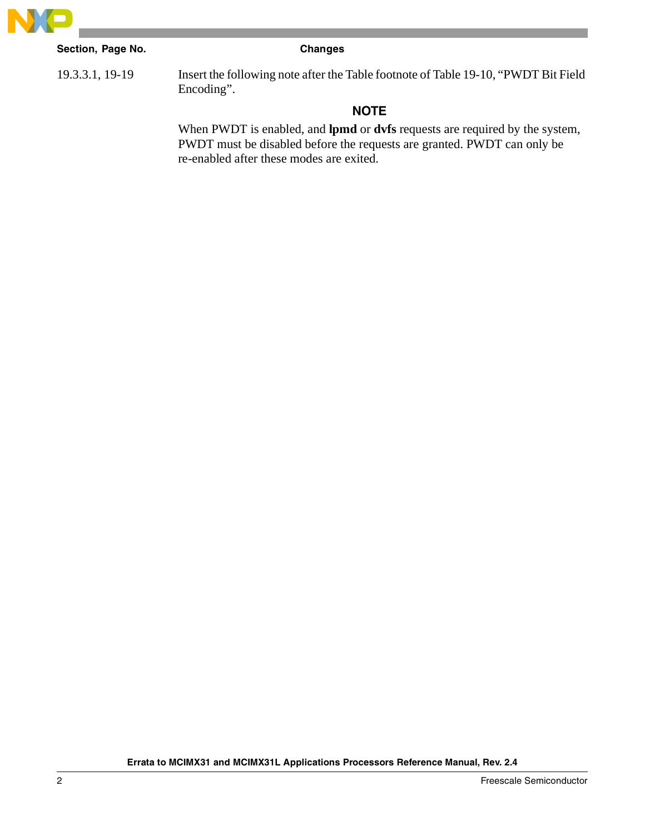

# **Section, Page No. Changes**

19.3.3.1, 19-19 Insert the following note after the Table footnote of Table 19-10, "PWDT Bit Field Encoding".

# **NOTE**

When PWDT is enabled, and **lpmd** or **dvfs** requests are required by the system, PWDT must be disabled before the requests are granted. PWDT can only be re-enabled after these modes are exited.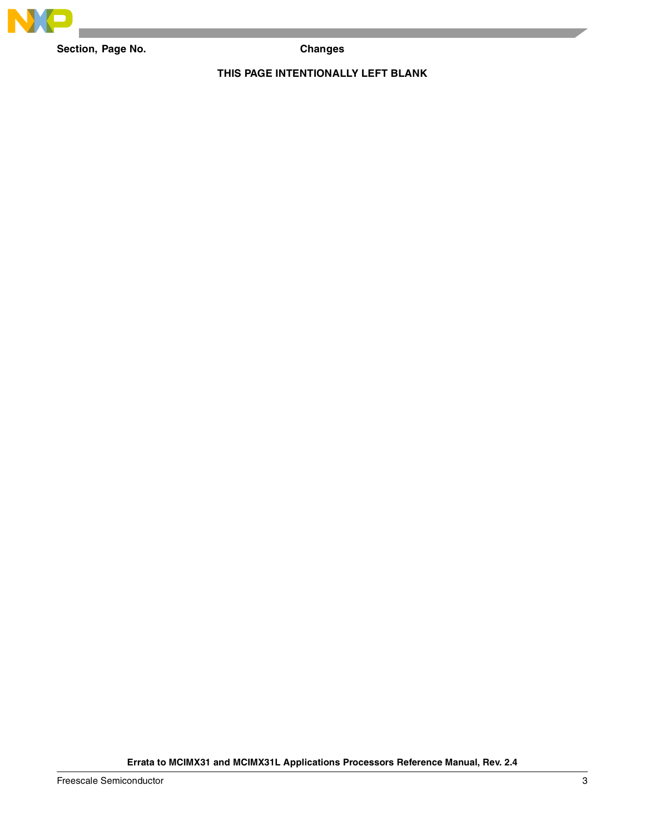

Section, Page No. **Changes** 

## **THIS PAGE INTENTIONALLY LEFT BLANK**

**Errata to MCIMX31 and MCIMX31L Applications Processors Reference Manual, Rev. 2.4**